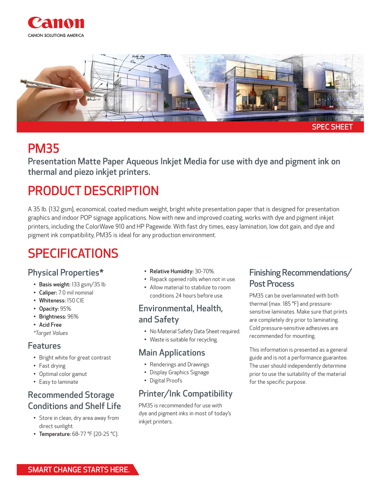



# PM35

Presentation Matte Paper Aqueous Inkjet Media for use with dye and pigment ink on thermal and piezo inkjet printers.

# PRODUCT DESCRIPTION

A 35 lb. (132 gsm), economical, coated medium weight, bright white presentation paper that is designed for presentation graphics and indoor POP signage applications. Now with new and improved coating, works with dye and pigment inkjet printers, including the ColorWave 910 and HP Pagewide. With fast dry times, easy lamination, low dot gain, and dye and pigment ink compatibility, PM35 is ideal for any production environment.

# SPECIFICATIONS

### Physical Properties\*

- Basis weight: 133 gsm/35 lb
- Caliper: 7.0 mil nominal
- Whiteness: 150 CIE
- Opacity: 95%
- Brightness: 96%
- Acid Free
- *\*Target Values*

#### Features

- Bright white for great contrast
- Fast drying
- Optimal color gamut
- Easy to laminate

# Recommended Storage Conditions and Shelf Life

- Store in clean, dry area away from direct sunlight.
- Temperature: 68-77 °F (20-25 °C).
- Relative Humidity: 30-70%.
- Repack opened rolls when not in use.
- Allow material to stabilize to room conditions 24 hours before use.

### Environmental, Health, and Safety

- No Material Safety Data Sheet required.
- Waste is suitable for recycling.

### Main Applications

- Renderings and Drawings
- Display Graphics Signage
- Digital Proofs

# Printer/Ink Compatibility

PM35 is recommended for use with dye and pigment inks in most of today's inkjet printers.

# Finishing Recommendations/ Post Process

PM35 can be overlaminated with both thermal (max. 185 °F) and pressuresensitive laminates. Make sure that prints are completely dry prior to laminating. Cold pressure-sensitive adhesives are recommended for mounting.

This information is presented as a general guide and is not a performance guarantee. The user should independently determine prior to use the suitability of the material for the specific purpose.